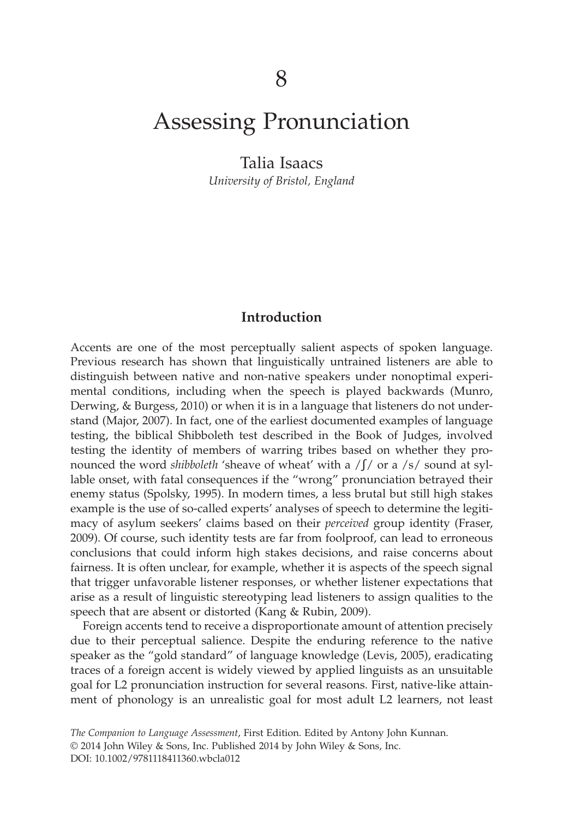# Assessing Pronunciation

Talia Isaacs

*University of Bristol, England*

# **Introduction**

Accents are one of the most perceptually salient aspects of spoken language. Previous research has shown that linguistically untrained listeners are able to distinguish between native and non-native speakers under nonoptimal experimental conditions, including when the speech is played backwards (Munro, Derwing, & Burgess, 2010) or when it is in a language that listeners do not understand (Major, 2007). In fact, one of the earliest documented examples of language testing, the biblical Shibboleth test described in the Book of Judges, involved testing the identity of members of warring tribes based on whether they pronounced the word *shibboleth* 'sheave of wheat' with a /ʃ/ or a /s/ sound at syllable onset, with fatal consequences if the "wrong" pronunciation betrayed their enemy status (Spolsky, 1995). In modern times, a less brutal but still high stakes example is the use of so-called experts' analyses of speech to determine the legitimacy of asylum seekers' claims based on their *perceived* group identity (Fraser, 2009). Of course, such identity tests are far from foolproof, can lead to erroneous conclusions that could inform high stakes decisions, and raise concerns about fairness. It is often unclear, for example, whether it is aspects of the speech signal that trigger unfavorable listener responses, or whether listener expectations that arise as a result of linguistic stereotyping lead listeners to assign qualities to the speech that are absent or distorted (Kang & Rubin, 2009).

Foreign accents tend to receive a disproportionate amount of attention precisely due to their perceptual salience. Despite the enduring reference to the native speaker as the "gold standard" of language knowledge (Levis, 2005), eradicating traces of a foreign accent is widely viewed by applied linguists as an unsuitable goal for L2 pronunciation instruction for several reasons. First, native-like attainment of phonology is an unrealistic goal for most adult L2 learners, not least

*The Companion to Language Assessment*, First Edition. Edited by Antony John Kunnan. © 2014 John Wiley & Sons, Inc. Published 2014 by John Wiley & Sons, Inc. DOI: 10.1002/9781118411360.wbcla012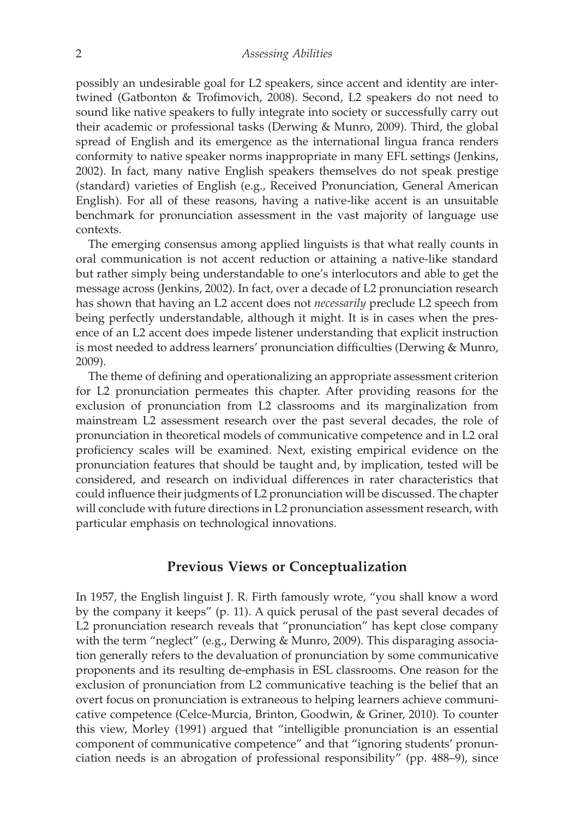#### 2 *Assessing Abilities*

possibly an undesirable goal for L2 speakers, since accent and identity are intertwined (Gatbonton & Trofimovich, 2008). Second, L2 speakers do not need to sound like native speakers to fully integrate into society or successfully carry out their academic or professional tasks (Derwing & Munro, 2009). Third, the global spread of English and its emergence as the international lingua franca renders conformity to native speaker norms inappropriate in many EFL settings (Jenkins, 2002). In fact, many native English speakers themselves do not speak prestige (standard) varieties of English (e.g., Received Pronunciation, General American English). For all of these reasons, having a native-like accent is an unsuitable benchmark for pronunciation assessment in the vast majority of language use contexts.

The emerging consensus among applied linguists is that what really counts in oral communication is not accent reduction or attaining a native-like standard but rather simply being understandable to one's interlocutors and able to get the message across (Jenkins, 2002). In fact, over a decade of L2 pronunciation research has shown that having an L2 accent does not *necessarily* preclude L2 speech from being perfectly understandable, although it might. It is in cases when the presence of an L2 accent does impede listener understanding that explicit instruction is most needed to address learners' pronunciation difficulties (Derwing & Munro, 2009).

The theme of defining and operationalizing an appropriate assessment criterion for L2 pronunciation permeates this chapter. After providing reasons for the exclusion of pronunciation from L2 classrooms and its marginalization from mainstream L2 assessment research over the past several decades, the role of pronunciation in theoretical models of communicative competence and in L2 oral proficiency scales will be examined. Next, existing empirical evidence on the pronunciation features that should be taught and, by implication, tested will be considered, and research on individual differences in rater characteristics that could influence their judgments of L2 pronunciation will be discussed. The chapter will conclude with future directions in L2 pronunciation assessment research, with particular emphasis on technological innovations.

#### **Previous Views or Conceptualization**

In 1957, the English linguist J. R. Firth famously wrote, "you shall know a word by the company it keeps" (p. 11). A quick perusal of the past several decades of L2 pronunciation research reveals that "pronunciation" has kept close company with the term "neglect" (e.g., Derwing & Munro, 2009). This disparaging association generally refers to the devaluation of pronunciation by some communicative proponents and its resulting de-emphasis in ESL classrooms. One reason for the exclusion of pronunciation from L2 communicative teaching is the belief that an overt focus on pronunciation is extraneous to helping learners achieve communicative competence (Celce-Murcia, Brinton, Goodwin, & Griner, 2010). To counter this view, Morley (1991) argued that "intelligible pronunciation is an essential component of communicative competence" and that "ignoring students' pronunciation needs is an abrogation of professional responsibility" (pp. 488–9), since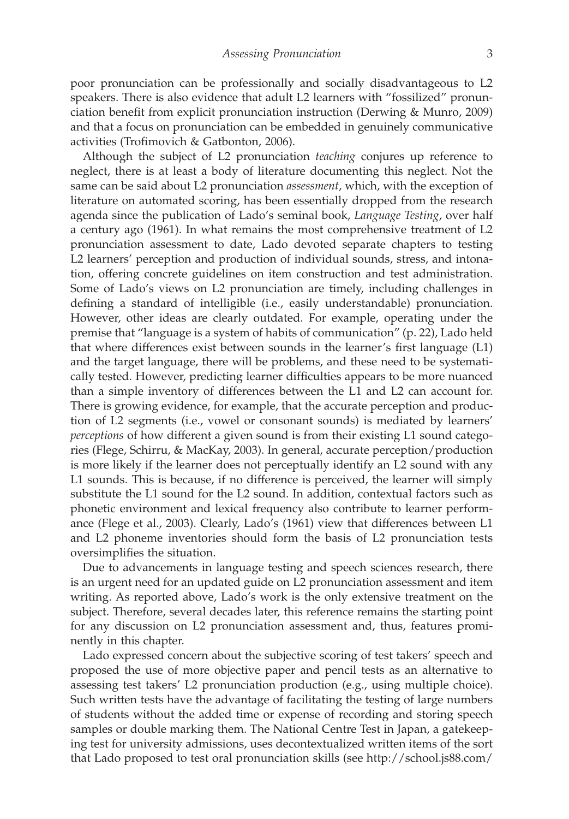poor pronunciation can be professionally and socially disadvantageous to L2 speakers. There is also evidence that adult L2 learners with "fossilized" pronunciation benefit from explicit pronunciation instruction (Derwing & Munro, 2009) and that a focus on pronunciation can be embedded in genuinely communicative activities (Trofimovich & Gatbonton, 2006).

Although the subject of L2 pronunciation *teaching* conjures up reference to neglect, there is at least a body of literature documenting this neglect. Not the same can be said about L2 pronunciation *assessment*, which, with the exception of literature on automated scoring, has been essentially dropped from the research agenda since the publication of Lado's seminal book, *Language Testing*, over half a century ago (1961). In what remains the most comprehensive treatment of L2 pronunciation assessment to date, Lado devoted separate chapters to testing L2 learners' perception and production of individual sounds, stress, and intonation, offering concrete guidelines on item construction and test administration. Some of Lado's views on L2 pronunciation are timely, including challenges in defining a standard of intelligible (i.e., easily understandable) pronunciation. However, other ideas are clearly outdated. For example, operating under the premise that "language is a system of habits of communication" (p. 22), Lado held that where differences exist between sounds in the learner's first language (L1) and the target language, there will be problems, and these need to be systematically tested. However, predicting learner difficulties appears to be more nuanced than a simple inventory of differences between the L1 and L2 can account for. There is growing evidence, for example, that the accurate perception and production of L2 segments (i.e., vowel or consonant sounds) is mediated by learners' *perceptions* of how different a given sound is from their existing L1 sound categories (Flege, Schirru, & MacKay, 2003). In general, accurate perception/production is more likely if the learner does not perceptually identify an L2 sound with any L1 sounds. This is because, if no difference is perceived, the learner will simply substitute the L1 sound for the L2 sound. In addition, contextual factors such as phonetic environment and lexical frequency also contribute to learner performance (Flege et al., 2003). Clearly, Lado's (1961) view that differences between L1 and L2 phoneme inventories should form the basis of L2 pronunciation tests oversimplifies the situation.

Due to advancements in language testing and speech sciences research, there is an urgent need for an updated guide on L2 pronunciation assessment and item writing. As reported above, Lado's work is the only extensive treatment on the subject. Therefore, several decades later, this reference remains the starting point for any discussion on L2 pronunciation assessment and, thus, features prominently in this chapter.

Lado expressed concern about the subjective scoring of test takers' speech and proposed the use of more objective paper and pencil tests as an alternative to assessing test takers' L2 pronunciation production (e.g., using multiple choice). Such written tests have the advantage of facilitating the testing of large numbers of students without the added time or expense of recording and storing speech samples or double marking them. The National Centre Test in Japan, a gatekeeping test for university admissions, uses decontextualized written items of the sort that Lado proposed to test oral pronunciation skills (see [http://school.js88.com/](http://school.js88.com/sd_article/dai/dai_center_data/pdf/2010Eng.pdf)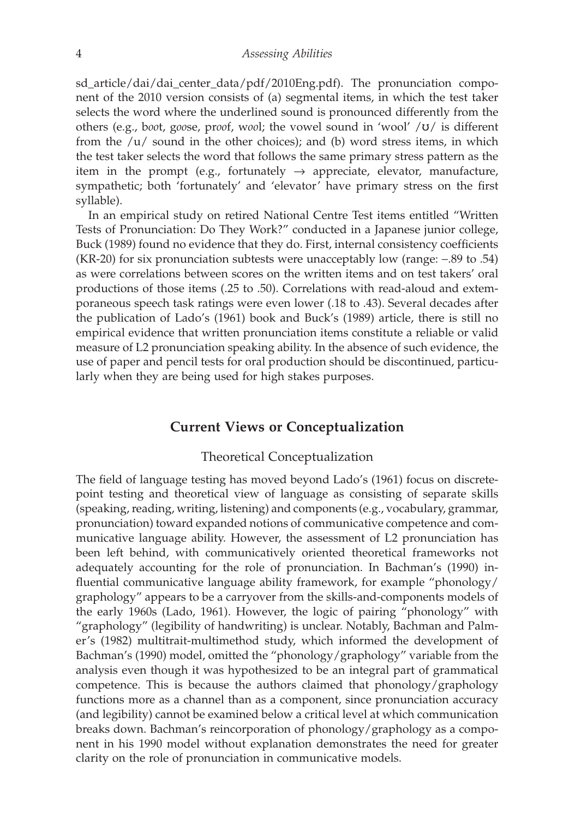[sd\\_article/dai/dai\\_center\\_data/pdf/2010Eng.pdf\)](http://school.js88.com/sd_article/dai/dai_center_data/pdf/2010Eng.pdf). The pronunciation component of the 2010 version consists of (a) segmental items, in which the test taker selects the word where the underlined sound is pronounced differently from the others (e.g., b*oo*t, g*oo*se, pr*oo*f, w*oo*l; the vowel sound in 'wool' /ʊ/ is different from the /u/ sound in the other choices); and (b) word stress items, in which the test taker selects the word that follows the same primary stress pattern as the item in the prompt (e.g., fortunately  $\rightarrow$  appreciate, elevator, manufacture, sympathetic; both 'fortunately' and 'elevator' have primary stress on the first syllable).

In an empirical study on retired National Centre Test items entitled "Written Tests of Pronunciation: Do They Work?" conducted in a Japanese junior college, Buck (1989) found no evidence that they do. First, internal consistency coefficients (KR-20) for six pronunciation subtests were unacceptably low (range: −.89 to .54) as were correlations between scores on the written items and on test takers' oral productions of those items (.25 to .50). Correlations with read-aloud and extemporaneous speech task ratings were even lower (.18 to .43). Several decades after the publication of Lado's (1961) book and Buck's (1989) article, there is still no empirical evidence that written pronunciation items constitute a reliable or valid measure of L2 pronunciation speaking ability. In the absence of such evidence, the use of paper and pencil tests for oral production should be discontinued, particularly when they are being used for high stakes purposes.

## **Current Views or Conceptualization**

#### Theoretical Conceptualization

The field of language testing has moved beyond Lado's (1961) focus on discretepoint testing and theoretical view of language as consisting of separate skills (speaking, reading, writing, listening) and components (e.g., vocabulary, grammar, pronunciation) toward expanded notions of communicative competence and communicative language ability. However, the assessment of L2 pronunciation has been left behind, with communicatively oriented theoretical frameworks not adequately accounting for the role of pronunciation. In Bachman's (1990) in fluential communicative language ability framework, for example "phonology/ graphology" appears to be a carryover from the skills-and-components models of the early 1960s (Lado, 1961). However, the logic of pairing "phonology" with "graphology" (legibility of handwriting) is unclear. Notably, Bachman and Palmer's (1982) multitrait-multimethod study, which informed the development of Bachman's (1990) model, omitted the "phonology/graphology" variable from the analysis even though it was hypothesized to be an integral part of grammatical competence. This is because the authors claimed that phonology/graphology functions more as a channel than as a component, since pronunciation accuracy (and legibility) cannot be examined below a critical level at which communication breaks down. Bachman's reincorporation of phonology/graphology as a component in his 1990 model without explanation demonstrates the need for greater clarity on the role of pronunciation in communicative models.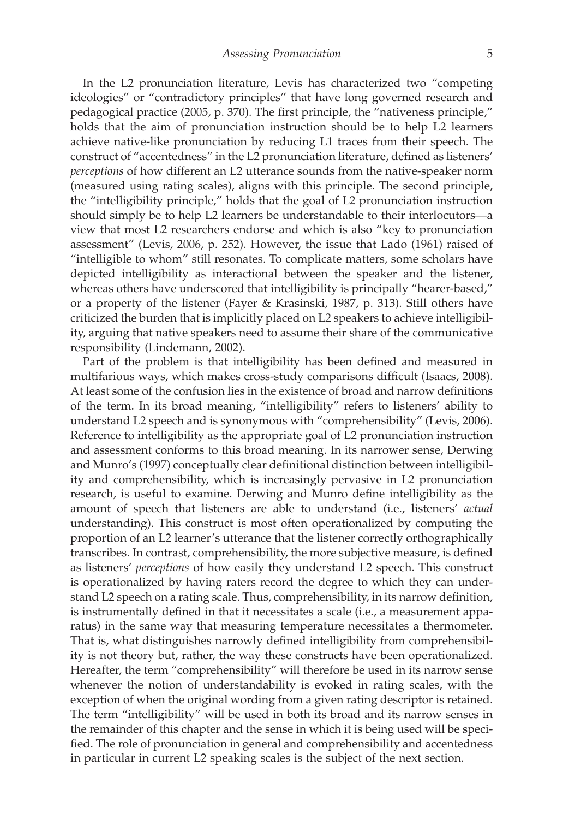In the L2 pronunciation literature, Levis has characterized two "competing ideologies" or "contradictory principles" that have long governed research and pedagogical practice (2005, p. 370). The first principle, the "nativeness principle," holds that the aim of pronunciation instruction should be to help L2 learners achieve native-like pronunciation by reducing L1 traces from their speech. The construct of "accentedness" in the L2 pronunciation literature, defined as listeners' *perceptions* of how different an L2 utterance sounds from the native-speaker norm (measured using rating scales), aligns with this principle. The second principle, the "intelligibility principle," holds that the goal of L2 pronunciation instruction should simply be to help L2 learners be understandable to their interlocutors—a view that most L2 researchers endorse and which is also "key to pronunciation assessment" (Levis, 2006, p. 252). However, the issue that Lado (1961) raised of "intelligible to whom" still resonates. To complicate matters, some scholars have depicted intelligibility as interactional between the speaker and the listener, whereas others have underscored that intelligibility is principally "hearer-based," or a property of the listener (Fayer & Krasinski, 1987, p. 313). Still others have criticized the burden that is implicitly placed on L2 speakers to achieve intelligibility, arguing that native speakers need to assume their share of the communicative responsibility (Lindemann, 2002).

Part of the problem is that intelligibility has been defined and measured in multifarious ways, which makes cross-study comparisons difficult (Isaacs, 2008). At least some of the confusion lies in the existence of broad and narrow definitions of the term. In its broad meaning, "intelligibility" refers to listeners' ability to understand L2 speech and is synonymous with "comprehensibility" (Levis, 2006). Reference to intelligibility as the appropriate goal of L2 pronunciation instruction and assessment conforms to this broad meaning. In its narrower sense, Derwing and Munro's (1997) conceptually clear definitional distinction between intelligibility and comprehensibility, which is increasingly pervasive in L2 pronunciation research, is useful to examine. Derwing and Munro define intelligibility as the amount of speech that listeners are able to understand (i.e., listeners' *actual* understanding). This construct is most often operationalized by computing the proportion of an L2 learner's utterance that the listener correctly orthographically transcribes. In contrast, comprehensibility, the more subjective measure, is defined as listeners' *perceptions* of how easily they understand L2 speech. This construct is operationalized by having raters record the degree to which they can understand L2 speech on a rating scale. Thus, comprehensibility, in its narrow definition, is instrumentally defined in that it necessitates a scale (i.e., a measurement apparatus) in the same way that measuring temperature necessitates a thermometer. That is, what distinguishes narrowly defined intelligibility from comprehensibility is not theory but, rather, the way these constructs have been operationalized. Hereafter, the term "comprehensibility" will therefore be used in its narrow sense whenever the notion of understandability is evoked in rating scales, with the exception of when the original wording from a given rating descriptor is retained. The term "intelligibility" will be used in both its broad and its narrow senses in the remainder of this chapter and the sense in which it is being used will be specified. The role of pronunciation in general and comprehensibility and accentedness in particular in current L2 speaking scales is the subject of the next section.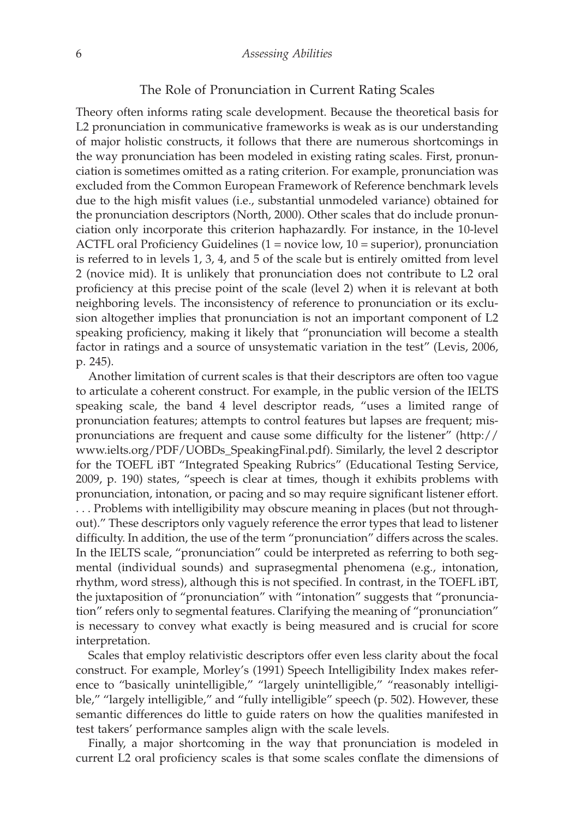### The Role of Pronunciation in Current Rating Scales

Theory often informs rating scale development. Because the theoretical basis for L2 pronunciation in communicative frameworks is weak as is our understanding of major holistic constructs, it follows that there are numerous shortcomings in the way pronunciation has been modeled in existing rating scales. First, pronunciation is sometimes omitted as a rating criterion. For example, pronunciation was excluded from the Common European Framework of Reference benchmark levels due to the high misfit values (i.e., substantial unmodeled variance) obtained for the pronunciation descriptors (North, 2000). Other scales that do include pronunciation only incorporate this criterion haphazardly. For instance, in the 10-level ACTFL oral Proficiency Guidelines  $(1 = \text{novice low}, 10 = \text{superior})$ , pronunciation is referred to in levels 1, 3, 4, and 5 of the scale but is entirely omitted from level 2 (novice mid). It is unlikely that pronunciation does not contribute to L2 oral proficiency at this precise point of the scale (level 2) when it is relevant at both neighboring levels. The inconsistency of reference to pronunciation or its exclusion altogether implies that pronunciation is not an important component of L2 speaking proficiency, making it likely that "pronunciation will become a stealth factor in ratings and a source of unsystematic variation in the test" (Levis, 2006, p. 245).

Another limitation of current scales is that their descriptors are often too vague to articulate a coherent construct. For example, in the public version of the IELTS speaking scale, the band 4 level descriptor reads, "uses a limited range of pronunciation features; attempts to control features but lapses are frequent; mispronunciations are frequent and cause some difficulty for the listener" ([http://](http://www.ielts.org/PDF/UOBDs_SpeakingFinal.pdf) [www.ielts.org/PDF/UOBDs\\_SpeakingFinal.pdf\)](http://www.ielts.org/PDF/UOBDs_SpeakingFinal.pdf). Similarly, the level 2 descriptor for the TOEFL iBT "Integrated Speaking Rubrics" (Educational Testing Service, 2009, p. 190) states, "speech is clear at times, though it exhibits problems with pronunciation, intonation, or pacing and so may require significant listener effort. . . . Problems with intelligibility may obscure meaning in places (but not throughout)." These descriptors only vaguely reference the error types that lead to listener difficulty. In addition, the use of the term "pronunciation" differs across the scales. In the IELTS scale, "pronunciation" could be interpreted as referring to both segmental (individual sounds) and suprasegmental phenomena (e.g., intonation, rhythm, word stress), although this is not specified. In contrast, in the TOEFL iBT, the juxtaposition of "pronunciation" with "intonation" suggests that "pronunciation" refers only to segmental features. Clarifying the meaning of "pronunciation" is necessary to convey what exactly is being measured and is crucial for score interpretation.

Scales that employ relativistic descriptors offer even less clarity about the focal construct. For example, Morley's (1991) Speech Intelligibility Index makes reference to "basically unintelligible," "largely unintelligible," "reasonably intelligible," "largely intelligible," and "fully intelligible" speech (p. 502). However, these semantic differences do little to guide raters on how the qualities manifested in test takers' performance samples align with the scale levels.

Finally, a major shortcoming in the way that pronunciation is modeled in current L2 oral proficiency scales is that some scales conflate the dimensions of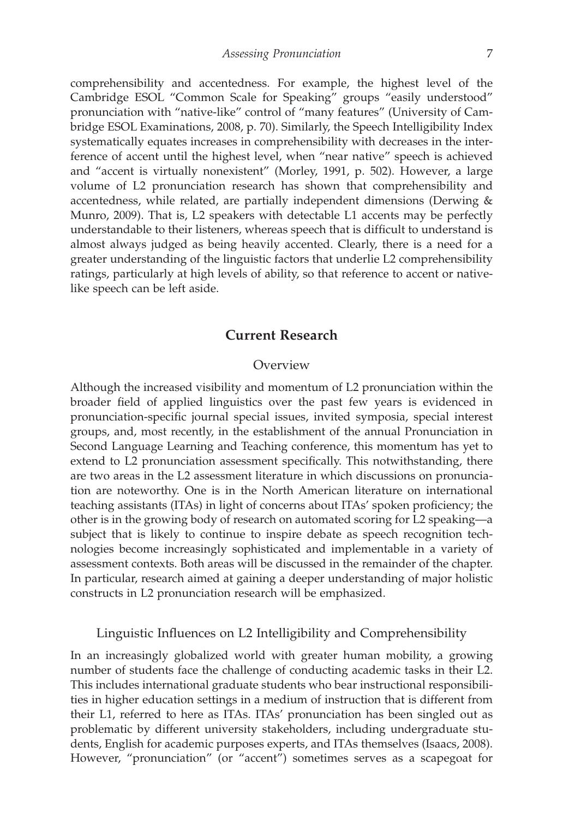comprehensibility and accentedness. For example, the highest level of the Cambridge ESOL "Common Scale for Speaking" groups "easily understood" pronunciation with "native-like" control of "many features" (University of Cambridge ESOL Examinations, 2008, p. 70). Similarly, the Speech Intelligibility Index systematically equates increases in comprehensibility with decreases in the interference of accent until the highest level, when "near native" speech is achieved and "accent is virtually nonexistent" (Morley, 1991, p. 502). However, a large volume of L2 pronunciation research has shown that comprehensibility and accentedness, while related, are partially independent dimensions (Derwing & Munro, 2009). That is, L2 speakers with detectable L1 accents may be perfectly understandable to their listeners, whereas speech that is difficult to understand is almost always judged as being heavily accented. Clearly, there is a need for a greater understanding of the linguistic factors that underlie L2 comprehensibility ratings, particularly at high levels of ability, so that reference to accent or nativelike speech can be left aside.

#### **Current Research**

## Overview

Although the increased visibility and momentum of L2 pronunciation within the broader field of applied linguistics over the past few years is evidenced in pronunciation-specific journal special issues, invited symposia, special interest groups, and, most recently, in the establishment of the annual Pronunciation in Second Language Learning and Teaching conference, this momentum has yet to extend to L2 pronunciation assessment specifically. This notwithstanding, there are two areas in the L2 assessment literature in which discussions on pronunciation are noteworthy. One is in the North American literature on international teaching assistants (ITAs) in light of concerns about ITAs' spoken proficiency; the other is in the growing body of research on automated scoring for L2 speaking—a subject that is likely to continue to inspire debate as speech recognition technologies become increasingly sophisticated and implementable in a variety of assessment contexts. Both areas will be discussed in the remainder of the chapter. In particular, research aimed at gaining a deeper understanding of major holistic constructs in L2 pronunciation research will be emphasized.

#### Linguistic Influences on L2 Intelligibility and Comprehensibility

In an increasingly globalized world with greater human mobility, a growing number of students face the challenge of conducting academic tasks in their L2. This includes international graduate students who bear instructional responsibilities in higher education settings in a medium of instruction that is different from their L1, referred to here as ITAs. ITAs' pronunciation has been singled out as problematic by different university stakeholders, including undergraduate students, English for academic purposes experts, and ITAs themselves (Isaacs, 2008). However, "pronunciation" (or "accent") sometimes serves as a scapegoat for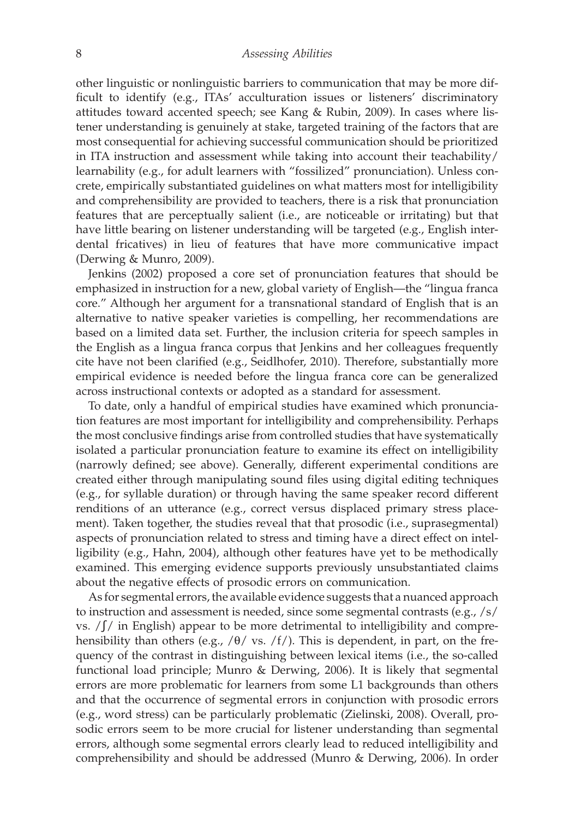other linguistic or nonlinguistic barriers to communication that may be more difficult to identify (e.g., ITAs' acculturation issues or listeners' discriminatory attitudes toward accented speech; see Kang & Rubin, 2009). In cases where listener understanding is genuinely at stake, targeted training of the factors that are most consequential for achieving successful communication should be prioritized in ITA instruction and assessment while taking into account their teachability/ learnability (e.g., for adult learners with "fossilized" pronunciation). Unless concrete, empirically substantiated guidelines on what matters most for intelligibility and comprehensibility are provided to teachers, there is a risk that pronunciation features that are perceptually salient (i.e., are noticeable or irritating) but that have little bearing on listener understanding will be targeted (e.g., English interdental fricatives) in lieu of features that have more communicative impact (Derwing & Munro, 2009).

Jenkins (2002) proposed a core set of pronunciation features that should be emphasized in instruction for a new, global variety of English—the "lingua franca core." Although her argument for a transnational standard of English that is an alternative to native speaker varieties is compelling, her recommendations are based on a limited data set. Further, the inclusion criteria for speech samples in the English as a lingua franca corpus that Jenkins and her colleagues frequently cite have not been clarified (e.g., Seidlhofer, 2010). Therefore, substantially more empirical evidence is needed before the lingua franca core can be generalized across instructional contexts or adopted as a standard for assessment.

To date, only a handful of empirical studies have examined which pronunciation features are most important for intelligibility and comprehensibility. Perhaps the most conclusive findings arise from controlled studies that have systematically isolated a particular pronunciation feature to examine its effect on intelligibility (narrowly defined; see above). Generally, different experimental conditions are created either through manipulating sound files using digital editing techniques (e.g., for syllable duration) or through having the same speaker record different renditions of an utterance (e.g., correct versus displaced primary stress placement). Taken together, the studies reveal that that prosodic (i.e., suprasegmental) aspects of pronunciation related to stress and timing have a direct effect on intelligibility (e.g., Hahn, 2004), although other features have yet to be methodically examined. This emerging evidence supports previously unsubstantiated claims about the negative effects of prosodic errors on communication.

As for segmental errors, the available evidence suggests that a nuanced approach to instruction and assessment is needed, since some segmental contrasts (e.g., /s/ vs.  $\frac{f}{i}$  in English) appear to be more detrimental to intelligibility and comprehensibility than others (e.g.,  $/0/$  vs.  $/f/$ ). This is dependent, in part, on the frequency of the contrast in distinguishing between lexical items (i.e., the so-called functional load principle; Munro & Derwing, 2006). It is likely that segmental errors are more problematic for learners from some L1 backgrounds than others and that the occurrence of segmental errors in conjunction with prosodic errors (e.g., word stress) can be particularly problematic (Zielinski, 2008). Overall, prosodic errors seem to be more crucial for listener understanding than segmental errors, although some segmental errors clearly lead to reduced intelligibility and comprehensibility and should be addressed (Munro & Derwing, 2006). In order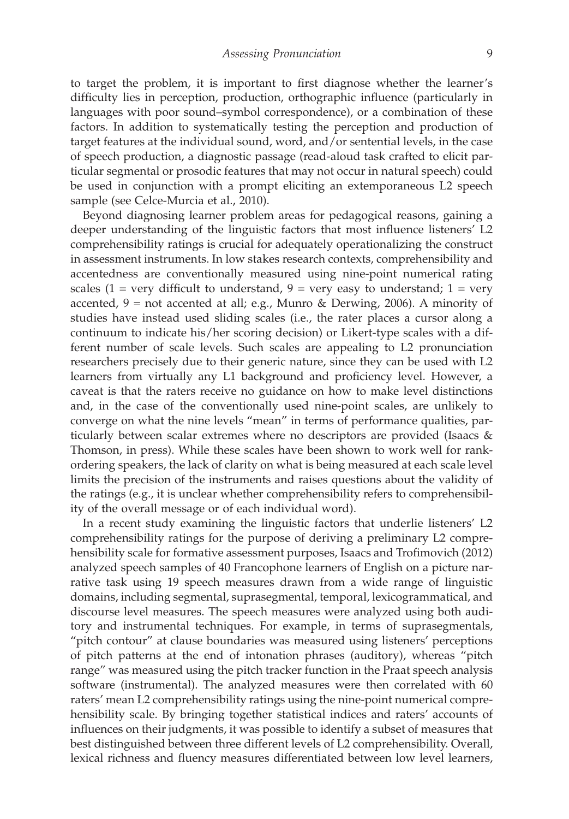to target the problem, it is important to first diagnose whether the learner's difficulty lies in perception, production, orthographic influence (particularly in languages with poor sound–symbol correspondence), or a combination of these factors. In addition to systematically testing the perception and production of target features at the individual sound, word, and/or sentential levels, in the case of speech production, a diagnostic passage (read-aloud task crafted to elicit particular segmental or prosodic features that may not occur in natural speech) could be used in conjunction with a prompt eliciting an extemporaneous L2 speech sample (see Celce-Murcia et al., 2010).

Beyond diagnosing learner problem areas for pedagogical reasons, gaining a deeper understanding of the linguistic factors that most influence listeners' L2 comprehensibility ratings is crucial for adequately operationalizing the construct in assessment instruments. In low stakes research contexts, comprehensibility and accentedness are conventionally measured using nine-point numerical rating scales (1 = very difficult to understand, 9 = very easy to understand; 1 = very accented,  $9 = not$  accented at all; e.g., Munro & Derwing, 2006). A minority of studies have instead used sliding scales (i.e., the rater places a cursor along a continuum to indicate his/her scoring decision) or Likert-type scales with a different number of scale levels. Such scales are appealing to L2 pronunciation researchers precisely due to their generic nature, since they can be used with L2 learners from virtually any L1 background and proficiency level. However, a caveat is that the raters receive no guidance on how to make level distinctions and, in the case of the conventionally used nine-point scales, are unlikely to converge on what the nine levels "mean" in terms of performance qualities, particularly between scalar extremes where no descriptors are provided (Isaacs & Thomson, in press). While these scales have been shown to work well for rankordering speakers, the lack of clarity on what is being measured at each scale level limits the precision of the instruments and raises questions about the validity of the ratings (e.g., it is unclear whether comprehensibility refers to comprehensibility of the overall message or of each individual word).

In a recent study examining the linguistic factors that underlie listeners' L2 comprehensibility ratings for the purpose of deriving a preliminary L2 comprehensibility scale for formative assessment purposes, Isaacs and Trofimovich (2012) analyzed speech samples of 40 Francophone learners of English on a picture narrative task using 19 speech measures drawn from a wide range of linguistic domains, including segmental, suprasegmental, temporal, lexicogrammatical, and discourse level measures. The speech measures were analyzed using both auditory and instrumental techniques. For example, in terms of suprasegmentals, "pitch contour" at clause boundaries was measured using listeners' perceptions of pitch patterns at the end of intonation phrases (auditory), whereas "pitch range" was measured using the pitch tracker function in the Praat speech analysis software (instrumental). The analyzed measures were then correlated with 60 raters' mean L2 comprehensibility ratings using the nine-point numerical comprehensibility scale. By bringing together statistical indices and raters' accounts of influences on their judgments, it was possible to identify a subset of measures that best distinguished between three different levels of L2 comprehensibility. Overall, lexical richness and fluency measures differentiated between low level learners,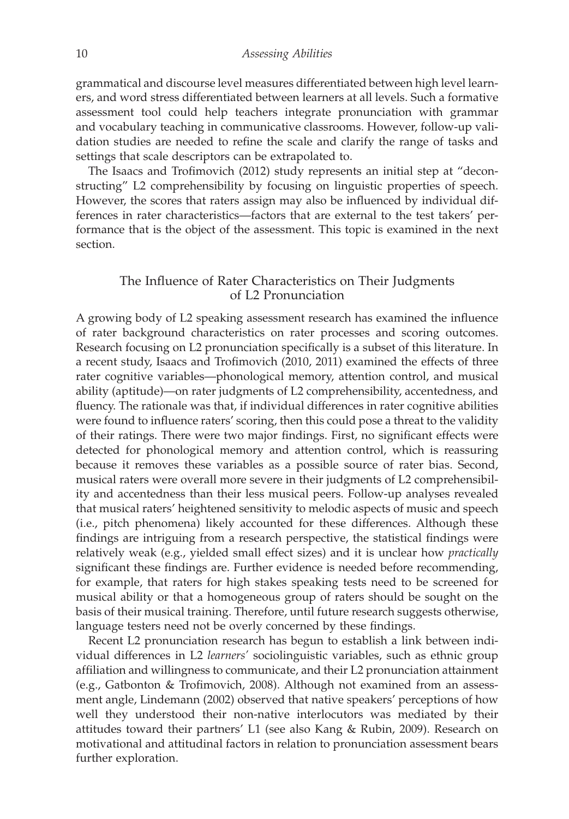grammatical and discourse level measures differentiated between high level learners, and word stress differentiated between learners at all levels. Such a formative assessment tool could help teachers integrate pronunciation with grammar and vocabulary teaching in communicative classrooms. However, follow-up validation studies are needed to refine the scale and clarify the range of tasks and settings that scale descriptors can be extrapolated to.

The Isaacs and Trofimovich (2012) study represents an initial step at "deconstructing" L2 comprehensibility by focusing on linguistic properties of speech. However, the scores that raters assign may also be influenced by individual differences in rater characteristics—factors that are external to the test takers' performance that is the object of the assessment. This topic is examined in the next section.

## The Influence of Rater Characteristics on Their Judgments of L2 Pronunciation

A growing body of L2 speaking assessment research has examined the influence of rater background characteristics on rater processes and scoring outcomes. Research focusing on L2 pronunciation specifically is a subset of this literature. In a recent study, Isaacs and Trofimovich (2010, 2011) examined the effects of three rater cognitive variables—phonological memory, attention control, and musical ability (aptitude)—on rater judgments of L2 comprehensibility, accentedness, and fluency. The rationale was that, if individual differences in rater cognitive abilities were found to influence raters' scoring, then this could pose a threat to the validity of their ratings. There were two major findings. First, no significant effects were detected for phonological memory and attention control, which is reassuring because it removes these variables as a possible source of rater bias. Second, musical raters were overall more severe in their judgments of L2 comprehensibility and accentedness than their less musical peers. Follow-up analyses revealed that musical raters' heightened sensitivity to melodic aspects of music and speech (i.e., pitch phenomena) likely accounted for these differences. Although these findings are intriguing from a research perspective, the statistical findings were relatively weak (e.g., yielded small effect sizes) and it is unclear how *practically* significant these findings are. Further evidence is needed before recommending, for example, that raters for high stakes speaking tests need to be screened for musical ability or that a homogeneous group of raters should be sought on the basis of their musical training. Therefore, until future research suggests otherwise, language testers need not be overly concerned by these findings.

Recent L2 pronunciation research has begun to establish a link between individual differences in L2 *learners'* sociolinguistic variables, such as ethnic group affiliation and willingness to communicate, and their L2 pronunciation attainment (e.g., Gatbonton & Trofimovich, 2008). Although not examined from an assessment angle, Lindemann (2002) observed that native speakers' perceptions of how well they understood their non-native interlocutors was mediated by their attitudes toward their partners' L1 (see also Kang & Rubin, 2009). Research on motivational and attitudinal factors in relation to pronunciation assessment bears further exploration.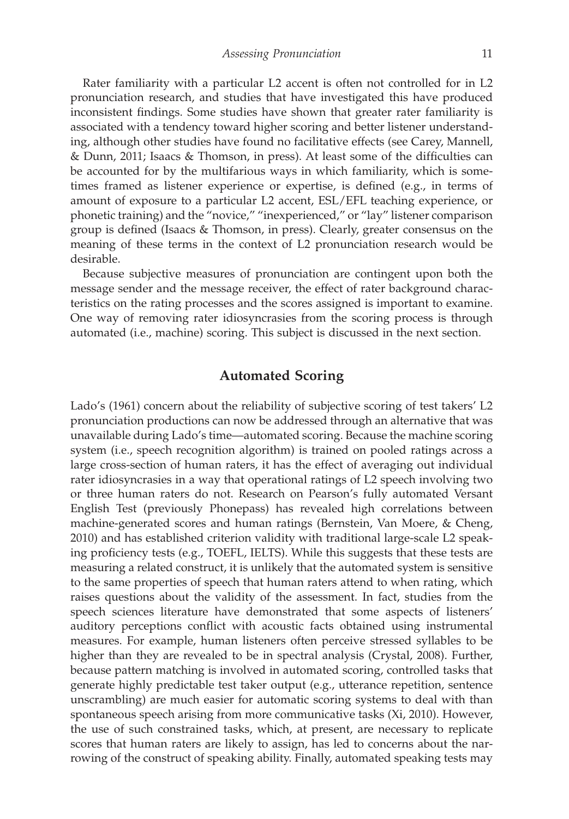Rater familiarity with a particular L2 accent is often not controlled for in L2 pronunciation research, and studies that have investigated this have produced inconsistent findings. Some studies have shown that greater rater familiarity is associated with a tendency toward higher scoring and better listener understanding, although other studies have found no facilitative effects (see Carey, Mannell, & Dunn, 2011; Isaacs & Thomson, in press). At least some of the difficulties can be accounted for by the multifarious ways in which familiarity, which is sometimes framed as listener experience or expertise, is defined (e.g., in terms of amount of exposure to a particular L2 accent, ESL/EFL teaching experience, or phonetic training) and the "novice," "inexperienced," or "lay" listener comparison group is defined (Isaacs & Thomson, in press). Clearly, greater consensus on the meaning of these terms in the context of L2 pronunciation research would be desirable.

Because subjective measures of pronunciation are contingent upon both the message sender and the message receiver, the effect of rater background characteristics on the rating processes and the scores assigned is important to examine. One way of removing rater idiosyncrasies from the scoring process is through automated (i.e., machine) scoring. This subject is discussed in the next section.

# **Automated Scoring**

Lado's (1961) concern about the reliability of subjective scoring of test takers' L2 pronunciation productions can now be addressed through an alternative that was unavailable during Lado's time—automated scoring. Because the machine scoring system (i.e., speech recognition algorithm) is trained on pooled ratings across a large cross-section of human raters, it has the effect of averaging out individual rater idiosyncrasies in a way that operational ratings of L2 speech involving two or three human raters do not. Research on Pearson's fully automated Versant English Test (previously Phonepass) has revealed high correlations between machine-generated scores and human ratings (Bernstein, Van Moere, & Cheng, 2010) and has established criterion validity with traditional large-scale L2 speaking proficiency tests (e.g., TOEFL, IELTS). While this suggests that these tests are measuring a related construct, it is unlikely that the automated system is sensitive to the same properties of speech that human raters attend to when rating, which raises questions about the validity of the assessment. In fact, studies from the speech sciences literature have demonstrated that some aspects of listeners' auditory perceptions conflict with acoustic facts obtained using instrumental measures. For example, human listeners often perceive stressed syllables to be higher than they are revealed to be in spectral analysis (Crystal, 2008). Further, because pattern matching is involved in automated scoring, controlled tasks that generate highly predictable test taker output (e.g., utterance repetition, sentence unscrambling) are much easier for automatic scoring systems to deal with than spontaneous speech arising from more communicative tasks (Xi, 2010). However, the use of such constrained tasks, which, at present, are necessary to replicate scores that human raters are likely to assign, has led to concerns about the narrowing of the construct of speaking ability. Finally, automated speaking tests may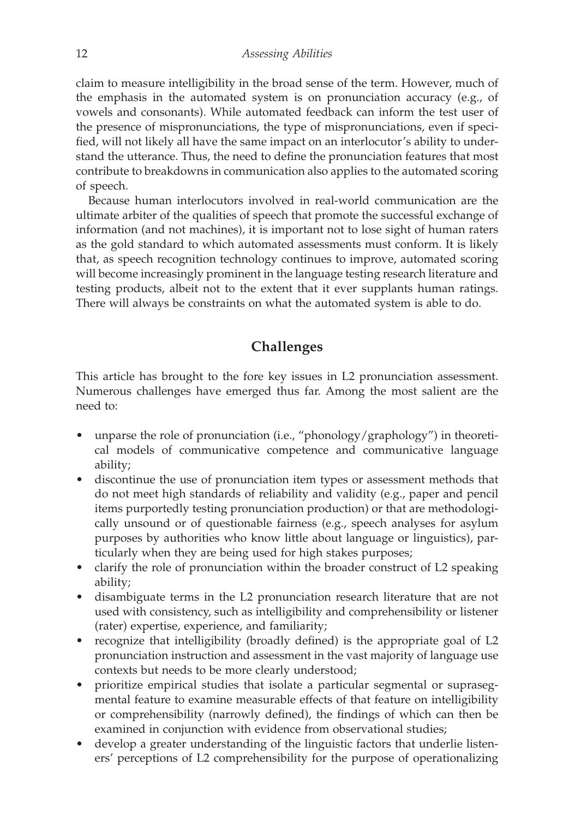claim to measure intelligibility in the broad sense of the term. However, much of the emphasis in the automated system is on pronunciation accuracy (e.g., of vowels and consonants). While automated feedback can inform the test user of the presence of mispronunciations, the type of mispronunciations, even if specified, will not likely all have the same impact on an interlocutor's ability to understand the utterance. Thus, the need to define the pronunciation features that most contribute to breakdowns in communication also applies to the automated scoring of speech.

Because human interlocutors involved in real-world communication are the ultimate arbiter of the qualities of speech that promote the successful exchange of information (and not machines), it is important not to lose sight of human raters as the gold standard to which automated assessments must conform. It is likely that, as speech recognition technology continues to improve, automated scoring will become increasingly prominent in the language testing research literature and testing products, albeit not to the extent that it ever supplants human ratings. There will always be constraints on what the automated system is able to do.

# **Challenges**

This article has brought to the fore key issues in L2 pronunciation assessment. Numerous challenges have emerged thus far. Among the most salient are the need to:

- unparse the role of pronunciation (i.e., "phonology/graphology") in theoretical models of communicative competence and communicative language ability;
- discontinue the use of pronunciation item types or assessment methods that do not meet high standards of reliability and validity (e.g., paper and pencil items purportedly testing pronunciation production) or that are methodologically unsound or of questionable fairness (e.g., speech analyses for asylum purposes by authorities who know little about language or linguistics), particularly when they are being used for high stakes purposes;
- clarify the role of pronunciation within the broader construct of L2 speaking ability;
- disambiguate terms in the L2 pronunciation research literature that are not used with consistency, such as intelligibility and comprehensibility or listener (rater) expertise, experience, and familiarity;
- recognize that intelligibility (broadly defined) is the appropriate goal of L2 pronunciation instruction and assessment in the vast majority of language use contexts but needs to be more clearly understood;
- prioritize empirical studies that isolate a particular segmental or suprasegmental feature to examine measurable effects of that feature on intelligibility or comprehensibility (narrowly defined), the findings of which can then be examined in conjunction with evidence from observational studies;
- develop a greater understanding of the linguistic factors that underlie listeners' perceptions of L2 comprehensibility for the purpose of operationalizing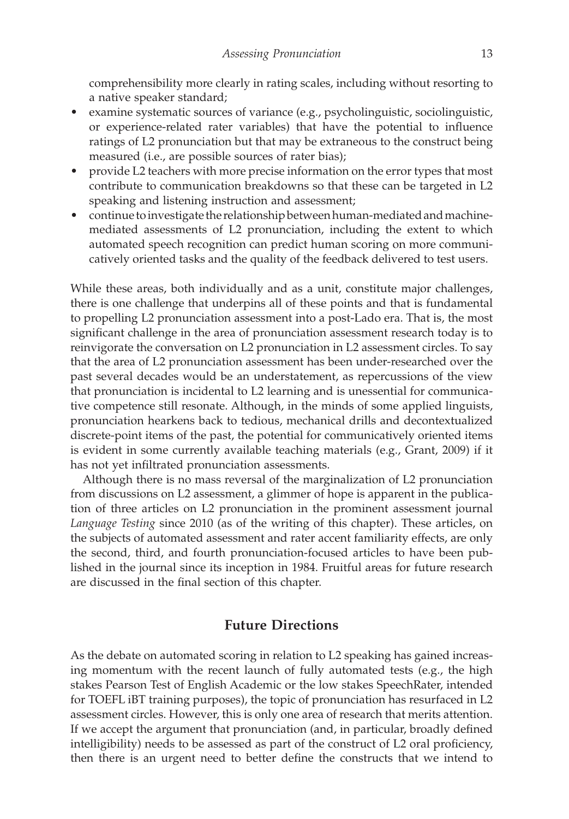comprehensibility more clearly in rating scales, including without resorting to a native speaker standard;

- examine systematic sources of variance (e.g., psycholinguistic, sociolinguistic, or experience-related rater variables) that have the potential to influence ratings of L2 pronunciation but that may be extraneous to the construct being measured (i.e., are possible sources of rater bias);
- provide L2 teachers with more precise information on the error types that most contribute to communication breakdowns so that these can be targeted in L2 speaking and listening instruction and assessment;
- continue to investigate the relationship between human-mediated and machinemediated assessments of L2 pronunciation, including the extent to which automated speech recognition can predict human scoring on more communicatively oriented tasks and the quality of the feedback delivered to test users.

While these areas, both individually and as a unit, constitute major challenges, there is one challenge that underpins all of these points and that is fundamental to propelling L2 pronunciation assessment into a post-Lado era. That is, the most significant challenge in the area of pronunciation assessment research today is to reinvigorate the conversation on L2 pronunciation in L2 assessment circles. To say that the area of L2 pronunciation assessment has been under-researched over the past several decades would be an understatement, as repercussions of the view that pronunciation is incidental to L2 learning and is unessential for communicative competence still resonate. Although, in the minds of some applied linguists, pronunciation hearkens back to tedious, mechanical drills and decontextualized discrete-point items of the past, the potential for communicatively oriented items is evident in some currently available teaching materials (e.g., Grant, 2009) if it has not yet infiltrated pronunciation assessments.

Although there is no mass reversal of the marginalization of L2 pronunciation from discussions on L2 assessment, a glimmer of hope is apparent in the publication of three articles on L2 pronunciation in the prominent assessment journal *Language Testing* since 2010 (as of the writing of this chapter). These articles, on the subjects of automated assessment and rater accent familiarity effects, are only the second, third, and fourth pronunciation-focused articles to have been published in the journal since its inception in 1984. Fruitful areas for future research are discussed in the final section of this chapter.

# **Future Directions**

As the debate on automated scoring in relation to L2 speaking has gained increasing momentum with the recent launch of fully automated tests (e.g., the high stakes Pearson Test of English Academic or the low stakes SpeechRater, intended for TOEFL iBT training purposes), the topic of pronunciation has resurfaced in L2 assessment circles. However, this is only one area of research that merits attention. If we accept the argument that pronunciation (and, in particular, broadly defined intelligibility) needs to be assessed as part of the construct of L2 oral proficiency, then there is an urgent need to better define the constructs that we intend to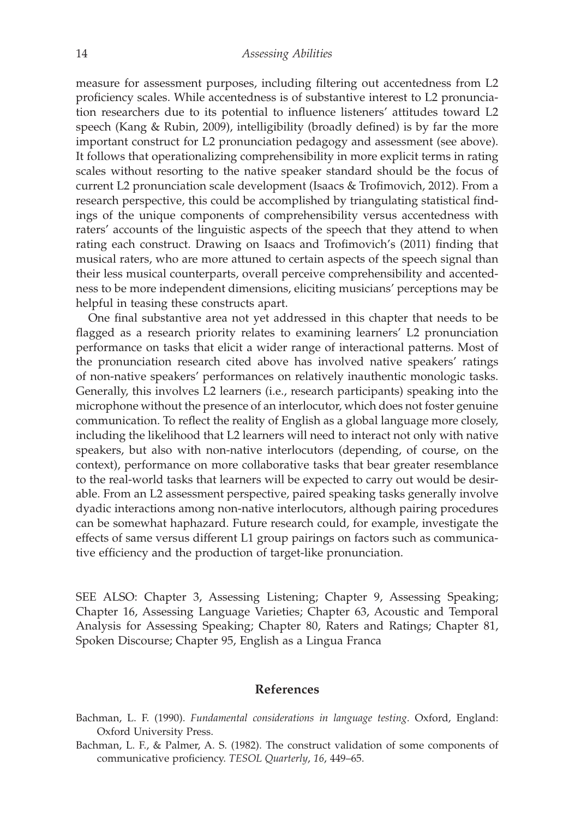measure for assessment purposes, including filtering out accentedness from L2 proficiency scales. While accentedness is of substantive interest to L2 pronunciation researchers due to its potential to influence listeners' attitudes toward L2 speech (Kang & Rubin, 2009), intelligibility (broadly defined) is by far the more important construct for L2 pronunciation pedagogy and assessment (see above). It follows that operationalizing comprehensibility in more explicit terms in rating scales without resorting to the native speaker standard should be the focus of current L2 pronunciation scale development (Isaacs & Trofimovich, 2012). From a research perspective, this could be accomplished by triangulating statistical findings of the unique components of comprehensibility versus accentedness with raters' accounts of the linguistic aspects of the speech that they attend to when rating each construct. Drawing on Isaacs and Trofimovich's (2011) finding that musical raters, who are more attuned to certain aspects of the speech signal than their less musical counterparts, overall perceive comprehensibility and accentedness to be more independent dimensions, eliciting musicians' perceptions may be helpful in teasing these constructs apart.

One final substantive area not yet addressed in this chapter that needs to be flagged as a research priority relates to examining learners' L2 pronunciation performance on tasks that elicit a wider range of interactional patterns. Most of the pronunciation research cited above has involved native speakers' ratings of non-native speakers' performances on relatively inauthentic monologic tasks. Generally, this involves L2 learners (i.e., research participants) speaking into the microphone without the presence of an interlocutor, which does not foster genuine communication. To reflect the reality of English as a global language more closely, including the likelihood that L2 learners will need to interact not only with native speakers, but also with non-native interlocutors (depending, of course, on the context), performance on more collaborative tasks that bear greater resemblance to the real-world tasks that learners will be expected to carry out would be desirable. From an L2 assessment perspective, paired speaking tasks generally involve dyadic interactions among non-native interlocutors, although pairing procedures can be somewhat haphazard. Future research could, for example, investigate the effects of same versus different L1 group pairings on factors such as communicative efficiency and the production of target-like pronunciation.

SEE ALSO: Chapter 3, Assessing Listening; Chapter 9, Assessing Speaking; Chapter 16, Assessing Language Varieties; Chapter 63, Acoustic and Temporal Analysis for Assessing Speaking; Chapter 80, Raters and Ratings; Chapter 81, Spoken Discourse; Chapter 95, English as a Lingua Franca

#### **References**

- Bachman, L. F. (1990). *Fundamental considerations in language testing*. Oxford, England: Oxford University Press.
- Bachman, L. F., & Palmer, A. S. (1982). The construct validation of some components of communicative proficiency. *TESOL Quarterly*, *16*, 449–65.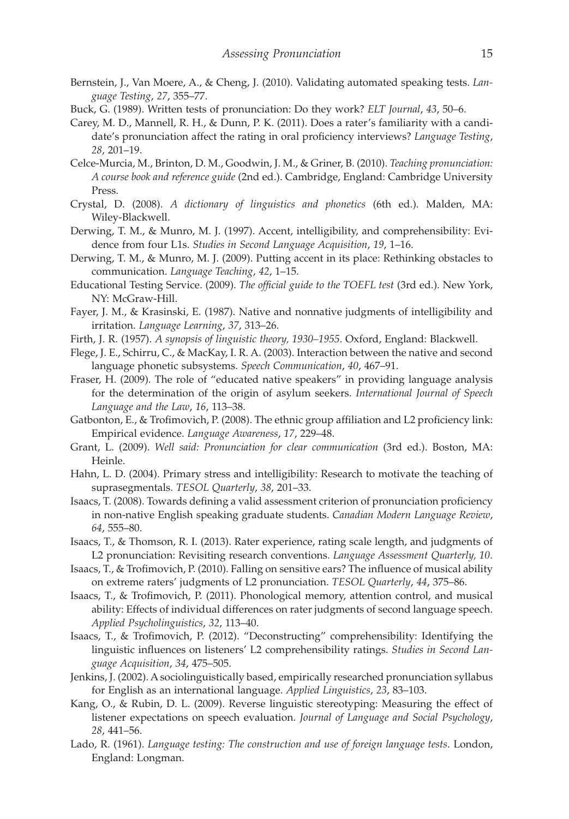- Bernstein, J., Van Moere, A., & Cheng, J. (2010). Validating automated speaking tests. *Language Testing*, *27*, 355–77.
- Buck, G. (1989). Written tests of pronunciation: Do they work? *ELT Journal*, *43*, 50–6.
- Carey, M. D., Mannell, R. H., & Dunn, P. K. (2011). Does a rater's familiarity with a candidate's pronunciation affect the rating in oral proficiency interviews? *Language Testing*, *28*, 201–19.
- Celce-Murcia, M., Brinton, D. M., Goodwin, J. M., & Griner, B. (2010). *Teaching pronunciation: A course book and reference guide* (2nd ed.). Cambridge, England: Cambridge University Press.
- Crystal, D. (2008). *A dictionary of linguistics and phonetics* (6th ed.). Malden, MA: Wiley-Blackwell.
- Derwing, T. M., & Munro, M. J. (1997). Accent, intelligibility, and comprehensibility: Evidence from four L1s. *Studies in Second Language Acquisition*, *19*, 1–16.
- Derwing, T. M., & Munro, M. J. (2009). Putting accent in its place: Rethinking obstacles to communication. *Language Teaching*, *42*, 1–15.
- Educational Testing Service. (2009). *The official guide to the TOEFL test* (3rd ed.). New York, NY: McGraw-Hill.
- Fayer, J. M., & Krasinski, E. (1987). Native and nonnative judgments of intelligibility and irritation. *Language Learning*, *37*, 313–26.
- Firth, J. R. (1957). *A synopsis of linguistic theory, 1930–1955*. Oxford, England: Blackwell.
- Flege, J. E., Schirru, C., & MacKay, I. R. A. (2003). Interaction between the native and second language phonetic subsystems. *Speech Communication*, *40*, 467–91.
- Fraser, H. (2009). The role of "educated native speakers" in providing language analysis for the determination of the origin of asylum seekers. *International Journal of Speech Language and the Law*, *16*, 113–38.
- Gatbonton, E., & Trofimovich, P. (2008). The ethnic group affiliation and L2 proficiency link: Empirical evidence. *Language Awareness*, *17*, 229–48.
- Grant, L. (2009). *Well said: Pronunciation for clear communication* (3rd ed.). Boston, MA: Heinle.
- Hahn, L. D. (2004). Primary stress and intelligibility: Research to motivate the teaching of suprasegmentals. *TESOL Quarterly*, *38*, 201–33.
- Isaacs, T. (2008). Towards defining a valid assessment criterion of pronunciation proficiency in non-native English speaking graduate students. *Canadian Modern Language Review*, *64*, 555–80.
- Isaacs, T., & Thomson, R. I. (2013). Rater experience, rating scale length, and judgments of L2 pronunciation: Revisiting research conventions. *Language Assessment Quarterly, 10*.
- Isaacs, T., & Trofimovich, P. (2010). Falling on sensitive ears? The influence of musical ability on extreme raters' judgments of L2 pronunciation. *TESOL Quarterly*, *44*, 375–86.
- Isaacs, T., & Trofimovich, P. (2011). Phonological memory, attention control, and musical ability: Effects of individual differences on rater judgments of second language speech. *Applied Psycholinguistics*, *32*, 113–40.
- Isaacs, T., & Trofimovich, P. (2012). "Deconstructing" comprehensibility: Identifying the linguistic influences on listeners' L2 comprehensibility ratings. *Studies in Second Language Acquisition*, *34*, 475–505.
- Jenkins, J. (2002). A sociolinguistically based, empirically researched pronunciation syllabus for English as an international language. *Applied Linguistics*, *23*, 83–103.
- Kang, O., & Rubin, D. L. (2009). Reverse linguistic stereotyping: Measuring the effect of listener expectations on speech evaluation. *Journal of Language and Social Psychology*, *28*, 441–56.
- Lado, R. (1961). *Language testing: The construction and use of foreign language tests*. London, England: Longman.